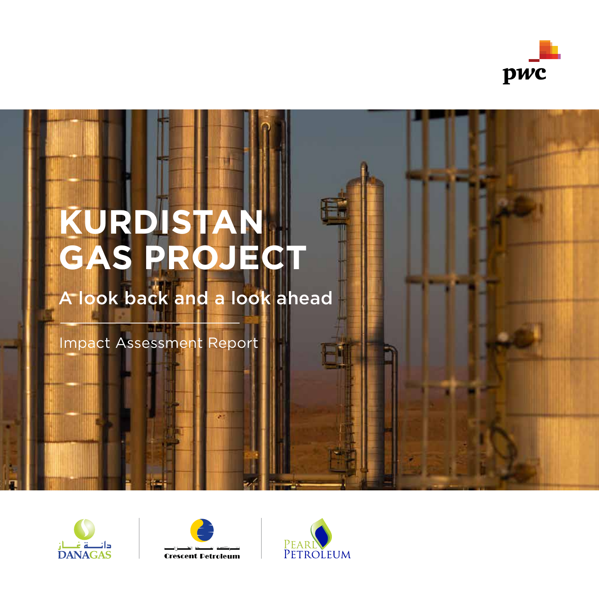

# **KURDISTAN GAS PROJECT**

## A look back and a look ahead

Impact Assessment Report





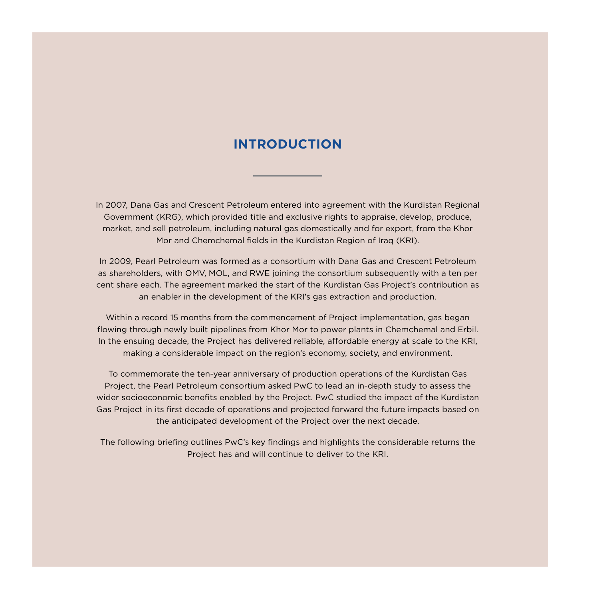#### **INTRODUCTION**

In 2007, Dana Gas and Crescent Petroleum entered into agreement with the Kurdistan Regional Government (KRG), which provided title and exclusive rights to appraise, develop, produce, market, and sell petroleum, including natural gas domestically and for export, from the Khor Mor and Chemchemal fields in the Kurdistan Region of Iraq (KRI).

In 2009, Pearl Petroleum was formed as a consortium with Dana Gas and Crescent Petroleum as shareholders, with OMV, MOL, and RWE joining the consortium subsequently with a ten per cent share each. The agreement marked the start of the Kurdistan Gas Project's contribution as an enabler in the development of the KRI's gas extraction and production.

Within a record 15 months from the commencement of Project implementation, gas began flowing through newly built pipelines from Khor Mor to power plants in Chemchemal and Erbil. In the ensuing decade, the Project has delivered reliable, affordable energy at scale to the KRI, making a considerable impact on the region's economy, society, and environment.

To commemorate the ten-year anniversary of production operations of the Kurdistan Gas Project, the Pearl Petroleum consortium asked PwC to lead an in-depth study to assess the wider socioeconomic benefits enabled by the Project. PwC studied the impact of the Kurdistan Gas Project in its first decade of operations and projected forward the future impacts based on the anticipated development of the Project over the next decade.

The following briefing outlines PwC's key findings and highlights the considerable returns the Project has and will continue to deliver to the KRI.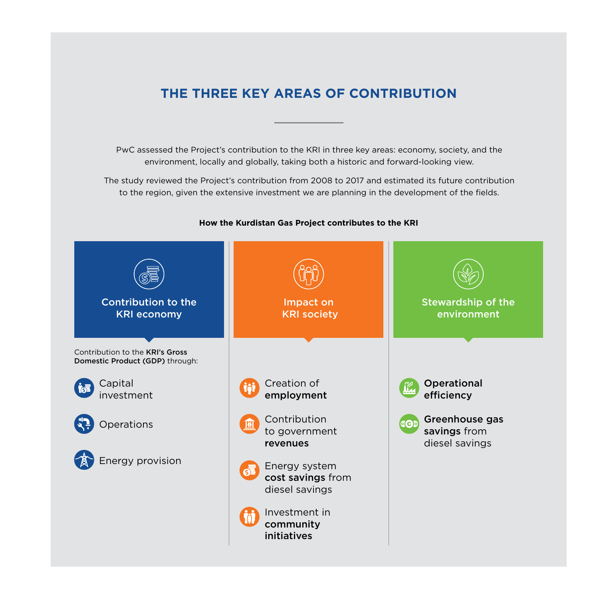### **THE THREE KEY AREAS OF CONTRIBUTION**

PwC assessed the Project's contribution to the KRI in three key areas: economy, society, and the environment, locally and globally, taking both a historic and forward-looking view.

The study reviewed the Project's contribution from 2008 to 2017 and estimated its future contribution to the region, given the extensive investment we are planning in the development of the fields.



#### **How the Kurdistan Gas Project contributes to the KRI**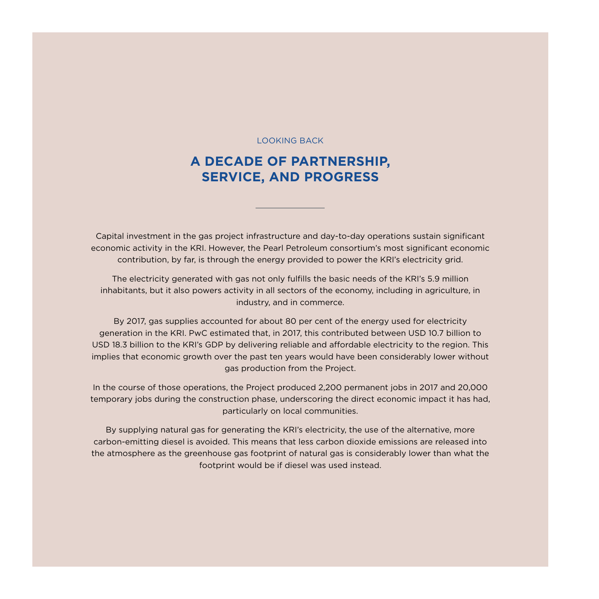LOOKING BACK

### **A DECADE OF PARTNERSHIP, SERVICE, AND PROGRESS**

Capital investment in the gas project infrastructure and day-to-day operations sustain significant economic activity in the KRI. However, the Pearl Petroleum consortium's most significant economic contribution, by far, is through the energy provided to power the KRI's electricity grid.

The electricity generated with gas not only fulfills the basic needs of the KRI's 5.9 million inhabitants, but it also powers activity in all sectors of the economy, including in agriculture, in industry, and in commerce.

By 2017, gas supplies accounted for about 80 per cent of the energy used for electricity generation in the KRI. PwC estimated that, in 2017, this contributed between USD 10.7 billion to USD 18.3 billion to the KRI's GDP by delivering reliable and affordable electricity to the region. This implies that economic growth over the past ten years would have been considerably lower without gas production from the Project.

In the course of those operations, the Project produced 2,200 permanent jobs in 2017 and 20,000 temporary jobs during the construction phase, underscoring the direct economic impact it has had, particularly on local communities.

By supplying natural gas for generating the KRI's electricity, the use of the alternative, more carbon-emitting diesel is avoided. This means that less carbon dioxide emissions are released into the atmosphere as the greenhouse gas footprint of natural gas is considerably lower than what the footprint would be if diesel was used instead.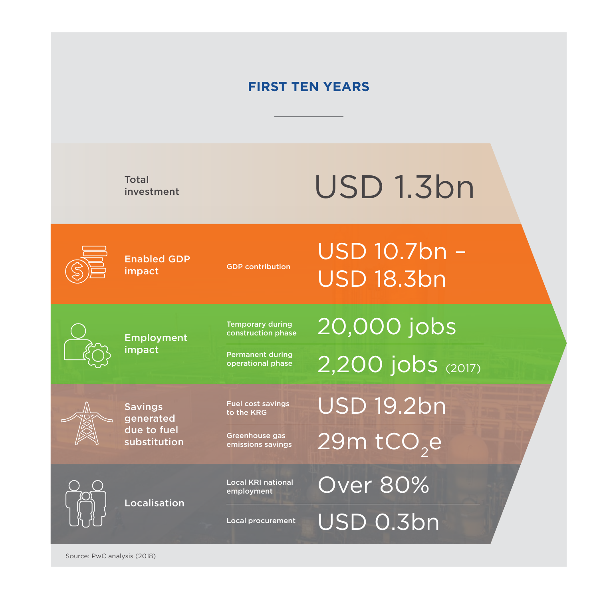### **FIRST TEN YEARS**

Total investment

# USD 1.3bn

Enabled GDP impact GDP contribution

### USD 10.7bn – USD 18.3bn

Employment impact

Permanent during operational phase

Fuel cost savings to the KRG

Temporary during construction phase

Savings generated due to fuel substitution

Greenhouse gas emissions savings

> Local KRI national employment

Localisation

Local procurement

20,000 jobs

2,200 jobs (2017)

USD 19.2bn

 $29m$  tCO<sub>2</sub>e

Over 80%

USD 0.3bn

Source: PwC analysis (2018)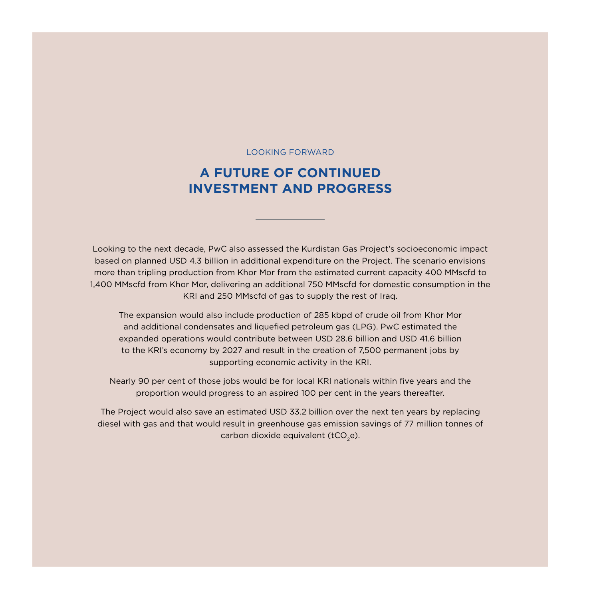#### LOOKING FORWARD

### **A FUTURE OF CONTINUED INVESTMENT AND PROGRESS**

Looking to the next decade, PwC also assessed the Kurdistan Gas Project's socioeconomic impact based on planned USD 4.3 billion in additional expenditure on the Project. The scenario envisions more than tripling production from Khor Mor from the estimated current capacity 400 MMscfd to 1,400 MMscfd from Khor Mor, delivering an additional 750 MMscfd for domestic consumption in the KRI and 250 MMscfd of gas to supply the rest of Iraq.

The expansion would also include production of 285 kbpd of crude oil from Khor Mor and additional condensates and liquefied petroleum gas (LPG). PwC estimated the expanded operations would contribute between USD 28.6 billion and USD 41.6 billion to the KRI's economy by 2027 and result in the creation of 7,500 permanent jobs by supporting economic activity in the KRI.

Nearly 90 per cent of those jobs would be for local KRI nationals within five years and the proportion would progress to an aspired 100 per cent in the years thereafter.

The Project would also save an estimated USD 33.2 billion over the next ten years by replacing diesel with gas and that would result in greenhouse gas emission savings of 77 million tonnes of carbon dioxide equivalent ( $tCO<sub>2</sub>e$ ).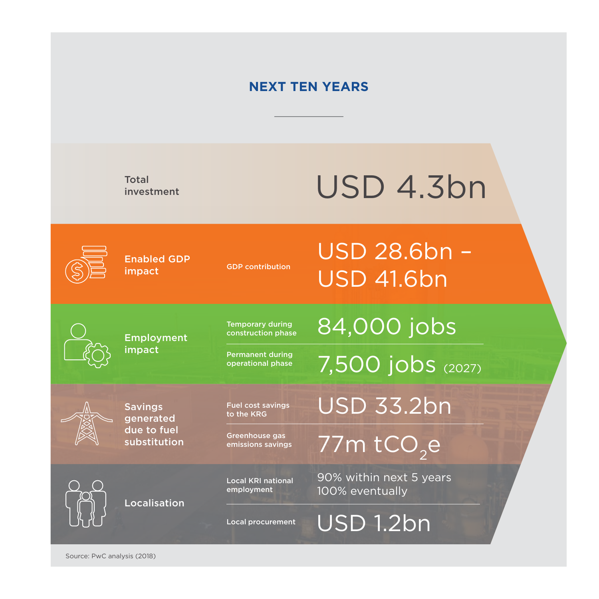### **NEXT TEN YEARS**

Total investment

# USD 4.3bn

Enabled GDP impact GDP contribution

USD 28.6bn – USD 41.6bn

Employment impact

Permanent during operational phase

Temporary during construction phase

Savings generated due to fuel substitution Fuel cost savings

to the KRG

Greenhouse gas emissions savings

Local KRI national employment

Localisation

Local procurement

84,000 jobs

7,500 jobs (2027)

USD 33.2bn

77 $m$  tCO<sub>2</sub>e

90% within next 5 years 100% eventually

USD 1.2bn

Source: PwC analysis (2018)